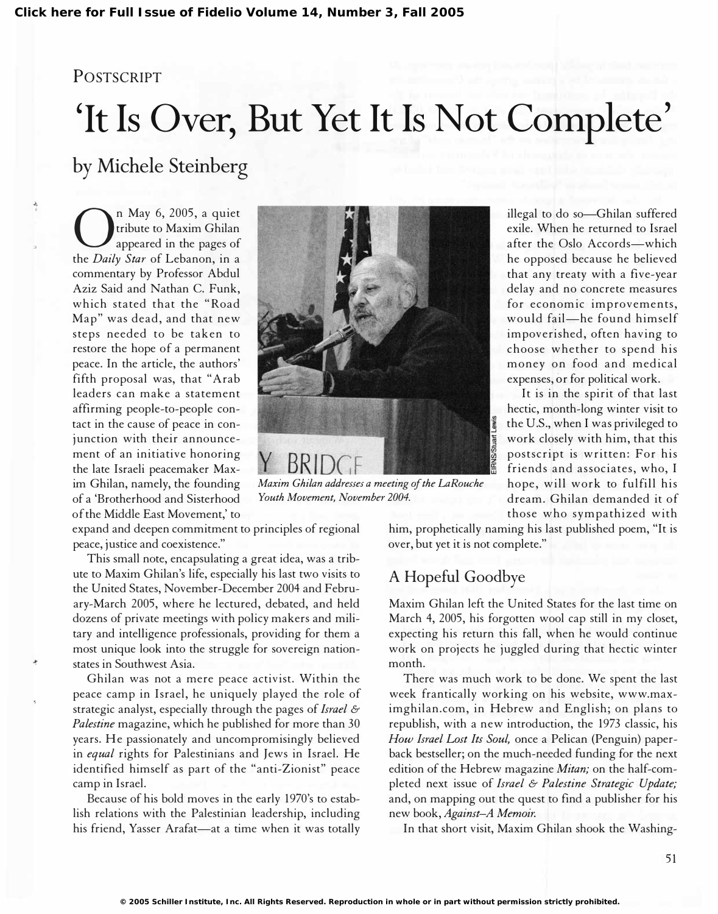#### POSTSCRIPT

# 'It Is Over, But Yet It Is Not Complete'

# by Michele Steinberg

**On** May 6, 2005, a quiet<br>tribute to Maxim Ghilan<br>appeared in the pages of tribute to Maxim Ghilan the Daily Star of Lebanon, in a commentary by Professor Abdul Aziz Said and Nathan C. Funk, which stated that the "Road Map" was dead, and that new steps needed to be taken to restore the hope of a permanent peace. In the article, the authors' fifth proposal was, that "Arab leaders can make a statement affirming people-to-people contact in the cause of peace in conjunction with their announcement of an initiative honoring the late Israeli peacemaker Maxim Ghilan, namely, the founding of a 'Brotherhood and Sisterhood of the Middle East Movement,' to

expand and deepen commitment to principles of regional peace, justice and coexistence."

This small note, encapsulating a great idea, was a tribute to Maxim Ghilan's life, especially his last two visits to the United States, November-December 2004 and February-March 2005, where he lectured, debated, and held dozens of private meetings with policy makers and military and intelligence professionals, providing for them a most unique look into the struggle for sovereign nationstates in Southwest Asia.

Ghilan was not a mere peace activist. Within the peace camp in Israel, he uniquely played the role of strategic analyst, especially through the pages of Israel  $\mathcal E$ Palestine magazine, which he published for more than 30 years. He passionately and uncompromisingly believed in equal rights for Palestinians and Jews in Israel. He identified himself as part of the "anti-Zionist" peace camp in Israel.

Because of his bold moves in the early 1970's to establish relations with the Palestinian leadership, including his friend, Yasser Arafat-at a time when it was totally

 $BRII$ Maxim Chilan addresses a meeting of the LaRouche Youth Movement, November 2004.

illegal to do so-Ghilan suffered exile. When he returned to Israel after the Oslo Accords-which he opposed because he believed that any treaty with a five-year delay and no concrete measures for economic improvements, would fail-he found himself impoverished, often having to choose whether to spend his money on food and medical expenses, or for political work.

It is in the spirit of that last hectic, month-long winter visit to the U.S., when I was privileged to work closely with him, that this postscript is written: For his friends and associates, who, I hope, will work to fulfill his dream. Ghilan demanded it of those who sympathized with

him, prophetically naming his last published poem, "It is over, but yet it is not complete."

## A Hopeful Goodbye

Maxim Ghilan left the United States for the last time on March 4, 2005, his forgotten wool cap still in my closet, expecting his return this fall, when he would continue work on projects he juggled during that hectic winter month.

There was much work to be done. We spent the last week frantically working on his website, www.maximghilan. com, in Hebrew and English; on plans to republish, with a new introduction, the 1973 classic, his How Israel Lost Its Soul, once a Pelican (Penguin) paperback bestseller; on the much-needed funding for the next edition of the Hebrew magazine Mitan; on the half-completed next issue of Israel & Palestine Strategic Update; and, on mapping out the quest to find a publisher for his new book, Against-A Memoir.

In that short visit, Maxim Ghilan shook the Washing-

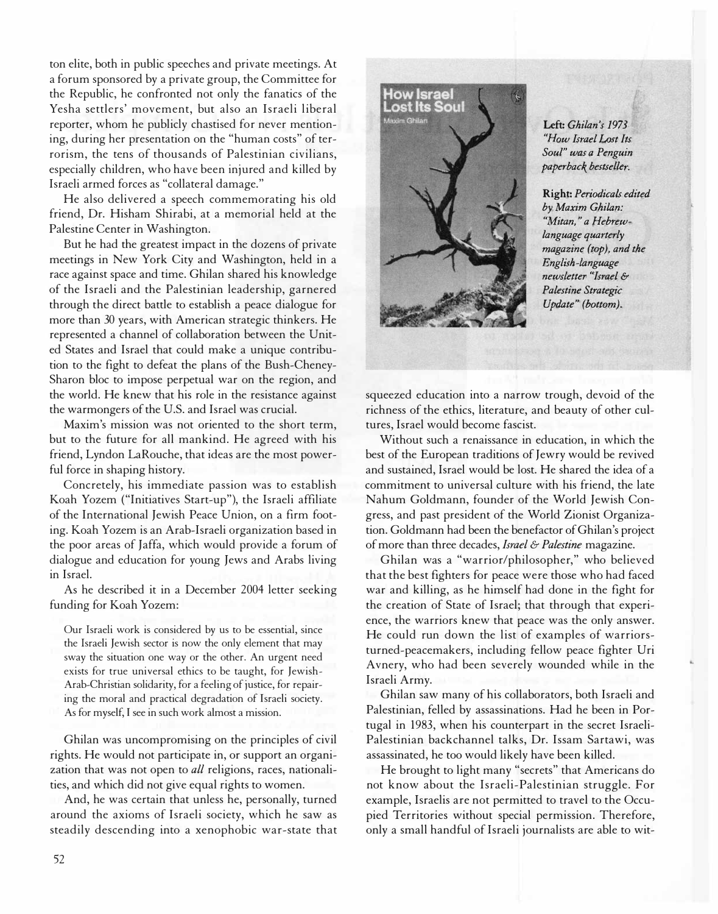ton elite, both in public speeches and private meetings. At a forum sponsored by a private group, the Committee for the Republic, he confronted not only the fanatics of the Yesha settlers' movement, but also an Israeli liberal reporter, whom he publicly chastised for never mentioning, during her presentation on the "human costs" of terrorism, the tens of thousands of Palestinian civilians, especially children, who have been injured and killed by Israeli armed forces as "collateral damage."

He also delivered a speech commemorating his old friend, Dr. Hisham Shirabi, at a memorial held at the Palestine Center in Washington.

But he had the greatest impact in the dozens of private meetings in New York City and Washington, held in a race against space and time. Ghilan shared his knowledge of the Israeli and the Palestinian leadership, garnered through the direct battle to establish a peace dialogue for more than 30 years, with American strategic thinkers. He represented a channel of collaboration between the United States and Israel that could make a unique contribution to the fight to defeat the plans of the Bush-Cheney-Sharon bloc to impose perpetual war on the region, and the world. He knew that his role in the resistance against the warmongers of the U.S. and Israel was crucial.

Maxim's mission was not oriented to the short term, but to the future for all mankind. He agreed with his friend, Lyndon LaRouche, that ideas are the most powerful force in shaping history.

Concretely, his immediate passion was to establish Koah Yozem ("Initiatives Start-up"), the Israeli affiliate of the International Jewish Peace Union, on a firm footing. Koah Yozem is an Arab-Israeli organization based in the poor areas of Jaffa, which would provide a forum of dialogue and education for young Jews and Arabs living in Israel.

As he described it in a December 2004 letter seeking funding for Koah Yozem:

Our Israeli work is considered by us to be essential, since the Israeli Jewish sector is now the only element that may sway the situation one way or the other. An urgent need exists for true universal ethics to be taught, for Jewish-Arab-Christian solidarity, for a feeling of justice, for repairing the moral and practical degradation of Israeli society. As for myself, I see in such work almost a mission.

Ghilan was uncompromising on the principles of civil rights. He would not participate in, or support an organization that was not open to all religions, races, nationalities, and which did not give equal rights to women.

And, he was certain that unless he, personally, turned around the axioms of Israeli society, which he saw as steadily descending into a xenophobic war-state that



Left: Ghilan's 1973 "How Israel Lost Its Soul" was a Penguin paperback bestseller.

Right: Periodicals edited by Maxim Ghilan: "Mitan," a Hebrewlanguage quarterly magazine (top), and the English -language newsletter "Israel & Palestine Strategic Update" (bottom).

squeezed education into a narrow trough, devoid of the richness of the ethics, literature, and beauty of other cultures, Israel would become fascist.

Without such a renaissance in education, in which the best of the European traditions of Jewry would be revived and sustained, Israel would be lost. He shared the idea of a commitment to universal culture with his friend, the late Nahum Goldmann, founder of the World Jewish Congress, and past president of the World Zionist Organization. Goldmann had been the benefactor of Ghilan's project of more than three decades, Israel & Palestine magazine.

Ghilan was a "warrior/philosopher," who believed that the best fighters for peace were those who had faced war and killing, as he himself had done in the fight for the creation of State of Israel; that through that experience, the warriors knew that peace was the only answer. He could run down the list of examples of warriorsturned-peacemakers, including fellow peace fighter Uri Avnery, who had been severely wounded while in the Israeli Army.

Ghilan saw many of his collaborators, both Israeli and Palestinian, felled by assassinations. Had he been in Portugal in 1983, when his counterpart in the secret Israeli-Palestinian backchannel talks, Dr. Issam Sartawi, was assassinated, he too would likely have been killed.

He brought to light many "secrets" that Americans do not know about the Israeli-Palestinian struggle. For example, Israelis are not permitted to travel to the Occupied Territories without special permission. Therefore, only a small handful of Israeli journalists are able to wit-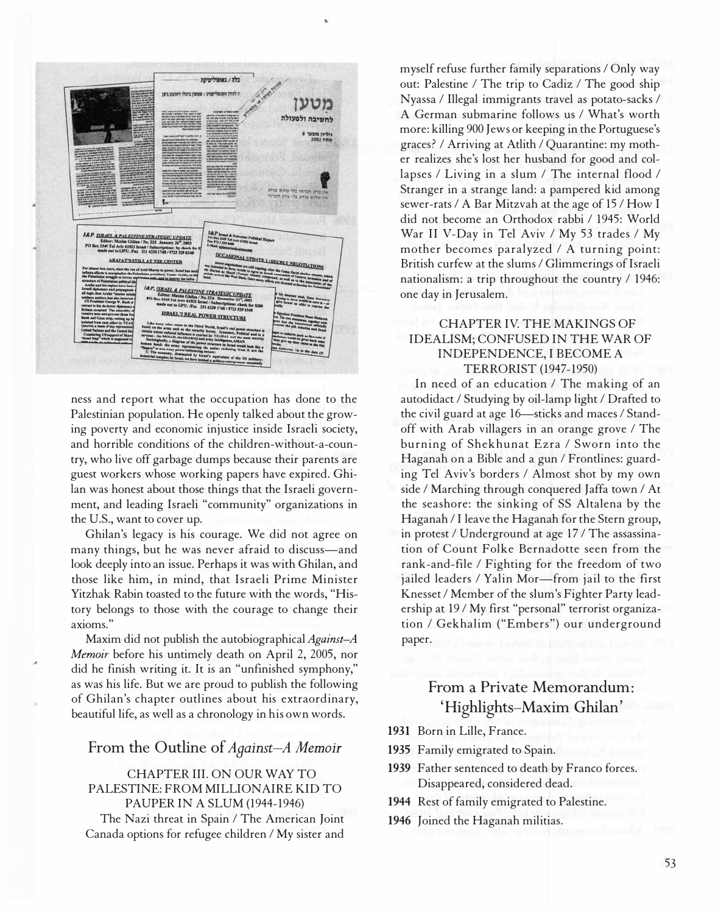

ness and report what the occupation has done to the Palestinian population. He openly talked about the growing poverty and economic injustice inside Israeli society, and horrible conditions of the children-without-a-country, who live off garbage dumps because their parents are guest workers whose working papers have expired. Ghilan was honest about those things that the Israeli government, and leading Israeli "community" organizations in the U.S., want to cover up.

Ghilan's legacy is his courage. We did not agree on many things, but he was never afraid to discuss-and look deeply into an issue. Perhaps it was with Ghilan, and those like him, in mind, that Israeli Prime Minister Yitzhak Rabin toasted to the future with the words, "History belongs to those with the courage to change their axioms."

Maxim did not publish the autobiographical Against-A Memoir before his untimely death on April 2, 2005, nor did he finish writing it. It is an "unfinished symphony," as was his life. But we are proud to publish the following of Ghilan's chapter outlines about his extraordinary, beautiful life, as well as a chronology in his own words.

#### From the Outline of Against-A Memoir

#### CHAPTER III. ON OUR WAY TO PALESTINE: FROM MILLIONAIRE KID TO PAUPER IN A SLUM (1944-1946)

The Nazi threat in Spain / The American Joint Canada options for refugee children / My sister and myself refuse further family separations / Only way out: Palestine / The trip to Cadiz / The good ship Nyassa / Illegal immigrants travel as potato-sacks / A German submarine follows us / What's worth more: killing 900 Jews or keeping in the Portuguese's graces? / Arriving at Atlith / Quarantine: my mother realizes she's lost her husband for good and collapses / Living in a slum / The internal flood / Stranger in a strange land: a pampered kid among sewer-rats / A Bar Mitzvah at the age of 15 / How I did not become an Orthodox rabbi / 1945: World War II V-Day in Tel Aviv / My 53 trades / My mother becomes paralyzed / A turning point: British curfew at the slums / Glimmerings of Israeli nationalism: a trip throughout the country / 1946: one day in Jerusalem.

#### CHAPTER IV. THE MAKINGS OF IDEALISM; CONFUSED IN THE WAR OF INDEPENDENCE, I BECOME A TERRORIST (1947-1950)

In need of an education / The making of an autodidact / Studying by oil-lamp light / Drafted to the civil guard at age 16--sticks and maces / Standoff with Arab villagers in an orange grove / The burning of Shekhunat Ezra / Sworn into the Haganah on a Bible and a gun / Frontlines: guarding Tel Aviv's borders / Almost shot by my own side / Marching through conquered Jaffa town / At the seashore: the sinking of SS Altalena by the Haganah / I leave the Haganah for the Stern group, in protest / Underground at age 17/ The assassination of Count Folke Bernadotte seen from the rank-and-file / Fighting for the freedom of two jailed leaders / Yalin Mor-from jail to the first Knesset / Member of the slum's Fighter Party leadership at 19/ My first "personal" terrorist organization / Gekhalim ("Embers") our underground paper.

### From a Private Memorandum: 'Highlights-Maxim Ghilan'

- 1931 Born in Lille, France.
- 1935 Family emigrated to Spain.
- 1939 Father sentenced to death by Franco forces. Disappeared, considered dead.
- 1944 Rest of family emigrated to Palestine.
- 1946 Joined the Haganah militias.